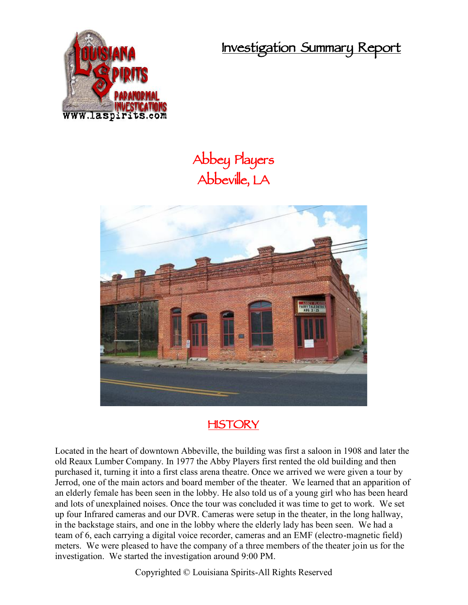**Investigation Summary Report**



## **Abbey Players Abbeville, LA**



## **HISTORY**

Located in the heart of downtown Abbeville, the building was first a saloon in 1908 and later the old Reaux Lumber Company. In 1977 the Abby Players first rented the old building and then purchased it, turning it into a first class arena theatre. Once we arrived we were given a tour by Jerrod, one of the main actors and board member of the theater. We learned that an apparition of an elderly female has been seen in the lobby. He also told us of a young girl who has been heard and lots of unexplained noises. Once the tour was concluded it was time to get to work. We set up four Infrared cameras and our DVR. Cameras were setup in the theater, in the long hallway, in the backstage stairs, and one in the lobby where the elderly lady has been seen. We had a team of 6, each carrying a digital voice recorder, cameras and an EMF (electro-magnetic field) meters. We were pleased to have the company of a three members of the theater join us for the investigation. We started the investigation around 9:00 PM.

Copyrighted © Louisiana Spirits-All Rights Reserved